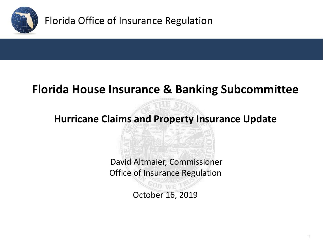

# **Florida House Insurance & Banking Subcommittee**

### **Hurricane Claims and Property Insurance Update**

David Altmaier, Commissioner Office of Insurance Regulation

October 16, 2019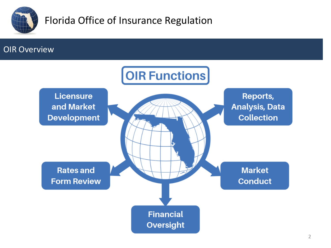

#### OIR Overview

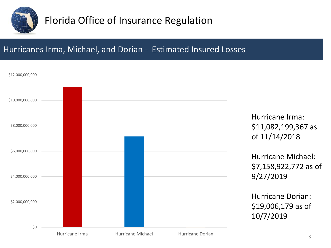

#### Hurricanes Irma, Michael, and Dorian - Estimated Insured Losses

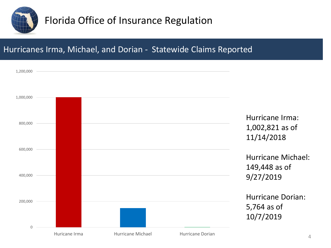

#### Hurricanes Irma, Michael, and Dorian - Statewide Claims Reported

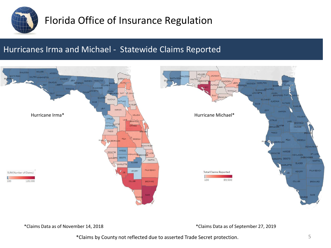

#### Hurricanes Irma and Michael - Statewide Claims Reported



\*Claims Data as of November 14, 2018 \*Claims Data as of September 27, 2019

\*Claims by County not reflected due to asserted Trade Secret protection.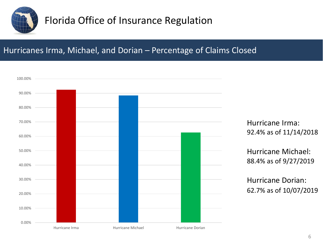

#### Hurricanes Irma, Michael, and Dorian – Percentage of Claims Closed

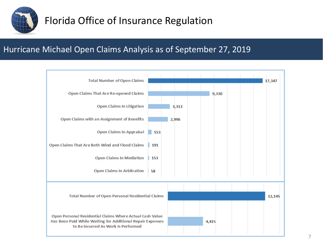

#### Hurricane Michael Open Claims Analysis as of September 27, 2019

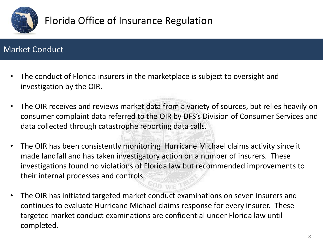

#### Market Conduct

- The conduct of Florida insurers in the marketplace is subject to oversight and investigation by the OIR.
- The OIR receives and reviews market data from a variety of sources, but relies heavily on consumer complaint data referred to the OIR by DFS's Division of Consumer Services and data collected through catastrophe reporting data calls.
- The OIR has been consistently monitoring Hurricane Michael claims activity since it made landfall and has taken investigatory action on a number of insurers. These investigations found no violations of Florida law but recommended improvements to their internal processes and controls.
- The OIR has initiated targeted market conduct examinations on seven insurers and continues to evaluate Hurricane Michael claims response for every insurer. These targeted market conduct examinations are confidential under Florida law until completed.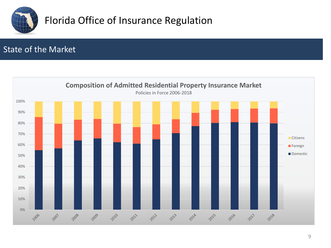

#### State of the Market

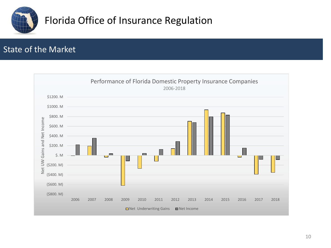

#### State of the Market

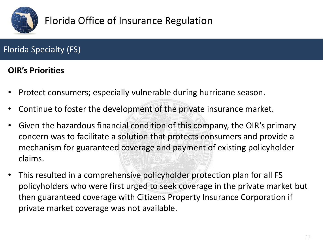

### Florida Specialty (FS)

#### **OIR's Priorities**

- Protect consumers; especially vulnerable during hurricane season.
- Continue to foster the development of the private insurance market.
- Given the hazardous financial condition of this company, the OIR's primary concern was to facilitate a solution that protects consumers and provide a mechanism for guaranteed coverage and payment of existing policyholder claims.
- This resulted in a comprehensive policyholder protection plan for all FS policyholders who were first urged to seek coverage in the private market but then guaranteed coverage with Citizens Property Insurance Corporation if private market coverage was not available.